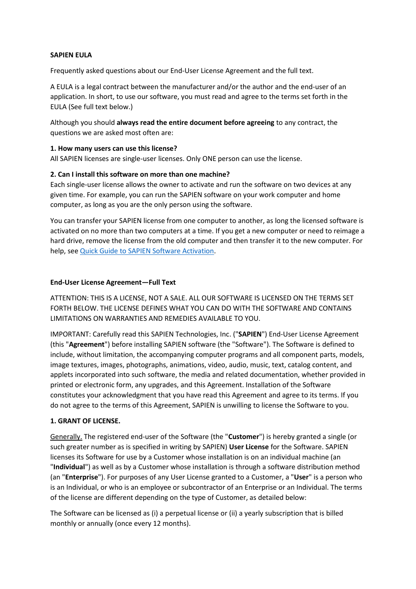#### **SAPIEN EULA**

Frequently asked questions about our End-User License Agreement and the full text.

A EULA is a legal contract between the manufacturer and/or the author and the end-user of an application. In short, to use our software, you must read and agree to the terms set forth in the EULA (See full text below.)

Although you should **always read the entire document before agreeing** to any contract, the questions we are asked most often are:

### **1. How many users can use this license?**

All SAPIEN licenses are single-user licenses. Only ONE person can use the license.

### **2. Can I install this software on more than one machine?**

Each single-user license allows the owner to activate and run the software on two devices at any given time. For example, you can run the SAPIEN software on your work computer and home computer, as long as you are the only person using the software.

You can transfer your SAPIEN license from one computer to another, as long the licensed software is activated on no more than two computers at a time. If you get a new computer or need to reimage a hard drive, remove the license from the old computer and then transfer it to the new computer. For help, se[e Quick Guide to SAPIEN Software Activation.](https://www.sapien.com/blog/2014/05/28/quick-guide-to-sapien-software-activation/)

### **End-User License Agreement—Full Text**

ATTENTION: THIS IS A LICENSE, NOT A SALE. ALL OUR SOFTWARE IS LICENSED ON THE TERMS SET FORTH BELOW. THE LICENSE DEFINES WHAT YOU CAN DO WITH THE SOFTWARE AND CONTAINS LIMITATIONS ON WARRANTIES AND REMEDIES AVAILABLE TO YOU.

IMPORTANT: Carefully read this SAPIEN Technologies, Inc. ("**SAPIEN**") End-User License Agreement (this "**Agreement**") before installing SAPIEN software (the "Software"). The Software is defined to include, without limitation, the accompanying computer programs and all component parts, models, image textures, images, photographs, animations, video, audio, music, text, catalog content, and applets incorporated into such software, the media and related documentation, whether provided in printed or electronic form, any upgrades, and this Agreement. Installation of the Software constitutes your acknowledgment that you have read this Agreement and agree to its terms. If you do not agree to the terms of this Agreement, SAPIEN is unwilling to license the Software to you.

#### **1. GRANT OF LICENSE.**

Generally. The registered end-user of the Software (the "**Customer**") is hereby granted a single (or such greater number as is specified in writing by SAPIEN) **User License** for the Software. SAPIEN licenses its Software for use by a Customer whose installation is on an individual machine (an "**Individual**") as well as by a Customer whose installation is through a software distribution method (an "**Enterprise**"). For purposes of any User License granted to a Customer, a "**User**" is a person who is an Individual, or who is an employee or subcontractor of an Enterprise or an Individual. The terms of the license are different depending on the type of Customer, as detailed below:

The Software can be licensed as (i) a perpetual license or (ii) a yearly subscription that is billed monthly or annually (once every 12 months).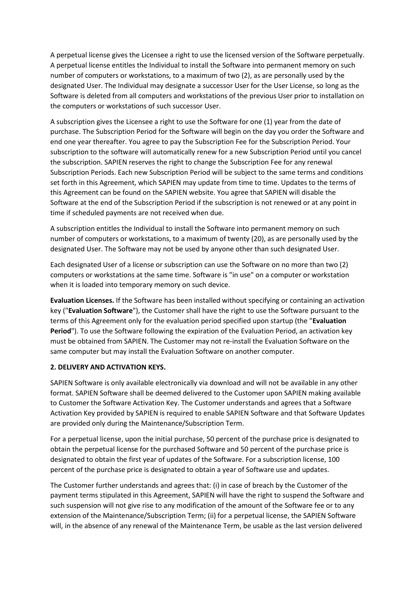A perpetual license gives the Licensee a right to use the licensed version of the Software perpetually. A perpetual license entitles the Individual to install the Software into permanent memory on such number of computers or workstations, to a maximum of two (2), as are personally used by the designated User. The Individual may designate a successor User for the User License, so long as the Software is deleted from all computers and workstations of the previous User prior to installation on the computers or workstations of such successor User.

A subscription gives the Licensee a right to use the Software for one (1) year from the date of purchase. The Subscription Period for the Software will begin on the day you order the Software and end one year thereafter. You agree to pay the Subscription Fee for the Subscription Period. Your subscription to the software will automatically renew for a new Subscription Period until you cancel the subscription. SAPIEN reserves the right to change the Subscription Fee for any renewal Subscription Periods. Each new Subscription Period will be subject to the same terms and conditions set forth in this Agreement, which SAPIEN may update from time to time. Updates to the terms of this Agreement can be found on the SAPIEN website. You agree that SAPIEN will disable the Software at the end of the Subscription Period if the subscription is not renewed or at any point in time if scheduled payments are not received when due.

A subscription entitles the Individual to install the Software into permanent memory on such number of computers or workstations, to a maximum of twenty (20), as are personally used by the designated User. The Software may not be used by anyone other than such designated User.

Each designated User of a license or subscription can use the Software on no more than two (2) computers or workstations at the same time. Software is "in use" on a computer or workstation when it is loaded into temporary memory on such device.

**Evaluation Licenses.** If the Software has been installed without specifying or containing an activation key ("**Evaluation Software**"), the Customer shall have the right to use the Software pursuant to the terms of this Agreement only for the evaluation period specified upon startup (the "**Evaluation Period**"). To use the Software following the expiration of the Evaluation Period, an activation key must be obtained from SAPIEN. The Customer may not re-install the Evaluation Software on the same computer but may install the Evaluation Software on another computer.

#### **2. DELIVERY AND ACTIVATION KEYS.**

SAPIEN Software is only available electronically via download and will not be available in any other format. SAPIEN Software shall be deemed delivered to the Customer upon SAPIEN making available to Customer the Software Activation Key. The Customer understands and agrees that a Software Activation Key provided by SAPIEN is required to enable SAPIEN Software and that Software Updates are provided only during the Maintenance/Subscription Term.

For a perpetual license, upon the initial purchase, 50 percent of the purchase price is designated to obtain the perpetual license for the purchased Software and 50 percent of the purchase price is designated to obtain the first year of updates of the Software. For a subscription license, 100 percent of the purchase price is designated to obtain a year of Software use and updates.

The Customer further understands and agrees that: (i) in case of breach by the Customer of the payment terms stipulated in this Agreement, SAPIEN will have the right to suspend the Software and such suspension will not give rise to any modification of the amount of the Software fee or to any extension of the Maintenance/Subscription Term; (ii) for a perpetual license, the SAPIEN Software will, in the absence of any renewal of the Maintenance Term, be usable as the last version delivered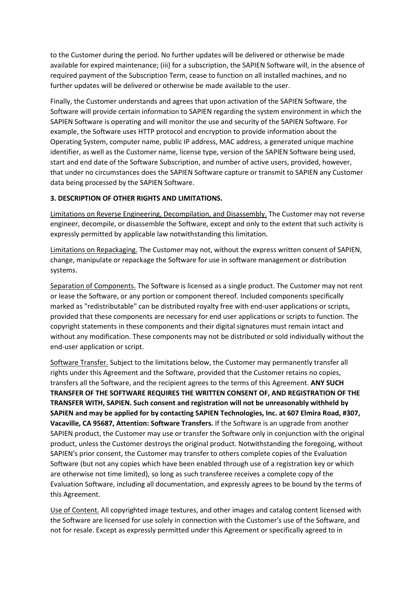to the Customer during the period. No further updates will be delivered or otherwise be made available for expired maintenance; (iii) for a subscription, the SAPIEN Software will, in the absence of required payment of the Subscription Term, cease to function on all installed machines, and no further updates will be delivered or otherwise be made available to the user.

Finally, the Customer understands and agrees that upon activation of the SAPIEN Software, the Software will provide certain information to SAPIEN regarding the system environment in which the SAPIEN Software is operating and will monitor the use and security of the SAPIEN Software. For example, the Software uses HTTP protocol and encryption to provide information about the Operating System, computer name, public IP address, MAC address, a generated unique machine identifier, as well as the Customer name, license type, version of the SAPIEN Software being used, start and end date of the Software Subscription, and number of active users, provided, however, that under no circumstances does the SAPIEN Software capture or transmit to SAPIEN any Customer data being processed by the SAPIEN Software.

### **3. DESCRIPTION OF OTHER RIGHTS AND LIMITATIONS.**

Limitations on Reverse Engineering, Decompilation, and Disassembly. The Customer may not reverse engineer, decompile, or disassemble the Software, except and only to the extent that such activity is expressly permitted by applicable law notwithstanding this limitation.

Limitations on Repackaging. The Customer may not, without the express written consent of SAPIEN, change, manipulate or repackage the Software for use in software management or distribution systems.

Separation of Components. The Software is licensed as a single product. The Customer may not rent or lease the Software, or any portion or component thereof. Included components specifically marked as "redistributable" can be distributed royalty free with end-user applications or scripts, provided that these components are necessary for end user applications or scripts to function. The copyright statements in these components and their digital signatures must remain intact and without any modification. These components may not be distributed or sold individually without the end-user application or script.

Software Transfer. Subject to the limitations below, the Customer may permanently transfer all rights under this Agreement and the Software, provided that the Customer retains no copies, transfers all the Software, and the recipient agrees to the terms of this Agreement. **ANY SUCH TRANSFER OF THE SOFTWARE REQUIRES THE WRITTEN CONSENT OF, AND REGISTRATION OF THE TRANSFER WITH, SAPIEN. Such consent and registration will not be unreasonably withheld by SAPIEN and may be applied for by contacting SAPIEN Technologies, Inc. at 607 Elmira Road, #307, Vacaville, CA 95687, Attention: Software Transfers.** If the Software is an upgrade from another SAPIEN product, the Customer may use or transfer the Software only in conjunction with the original product, unless the Customer destroys the original product. Notwithstanding the foregoing, without SAPIEN's prior consent, the Customer may transfer to others complete copies of the Evaluation Software (but not any copies which have been enabled through use of a registration key or which are otherwise not time limited), so long as such transferee receives a complete copy of the Evaluation Software, including all documentation, and expressly agrees to be bound by the terms of this Agreement.

Use of Content. All copyrighted image textures, and other images and catalog content licensed with the Software are licensed for use solely in connection with the Customer's use of the Software, and not for resale. Except as expressly permitted under this Agreement or specifically agreed to in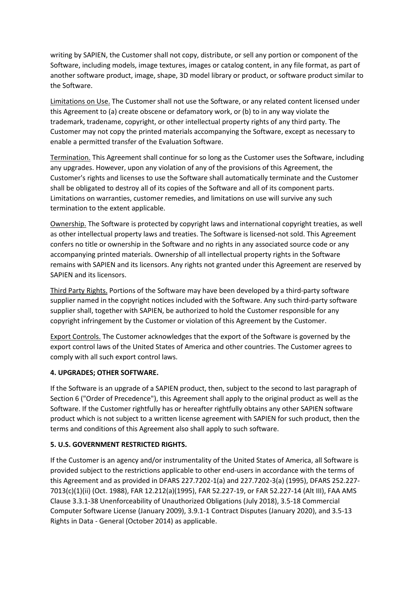writing by SAPIEN, the Customer shall not copy, distribute, or sell any portion or component of the Software, including models, image textures, images or catalog content, in any file format, as part of another software product, image, shape, 3D model library or product, or software product similar to the Software.

Limitations on Use. The Customer shall not use the Software, or any related content licensed under this Agreement to (a) create obscene or defamatory work, or (b) to in any way violate the trademark, tradename, copyright, or other intellectual property rights of any third party. The Customer may not copy the printed materials accompanying the Software, except as necessary to enable a permitted transfer of the Evaluation Software.

Termination. This Agreement shall continue for so long as the Customer uses the Software, including any upgrades. However, upon any violation of any of the provisions of this Agreement, the Customer's rights and licenses to use the Software shall automatically terminate and the Customer shall be obligated to destroy all of its copies of the Software and all of its component parts. Limitations on warranties, customer remedies, and limitations on use will survive any such termination to the extent applicable.

Ownership. The Software is protected by copyright laws and international copyright treaties, as well as other intellectual property laws and treaties. The Software is licensed-not sold. This Agreement confers no title or ownership in the Software and no rights in any associated source code or any accompanying printed materials. Ownership of all intellectual property rights in the Software remains with SAPIEN and its licensors. Any rights not granted under this Agreement are reserved by SAPIEN and its licensors.

Third Party Rights. Portions of the Software may have been developed by a third-party software supplier named in the copyright notices included with the Software. Any such third-party software supplier shall, together with SAPIEN, be authorized to hold the Customer responsible for any copyright infringement by the Customer or violation of this Agreement by the Customer.

Export Controls. The Customer acknowledges that the export of the Software is governed by the export control laws of the United States of America and other countries. The Customer agrees to comply with all such export control laws.

# **4. UPGRADES; OTHER SOFTWARE.**

If the Software is an upgrade of a SAPIEN product, then, subject to the second to last paragraph of Section 6 ("Order of Precedence"), this Agreement shall apply to the original product as well as the Software. If the Customer rightfully has or hereafter rightfully obtains any other SAPIEN software product which is not subject to a written license agreement with SAPIEN for such product, then the terms and conditions of this Agreement also shall apply to such software.

# **5. U.S. GOVERNMENT RESTRICTED RIGHTS.**

If the Customer is an agency and/or instrumentality of the United States of America, all Software is provided subject to the restrictions applicable to other end-users in accordance with the terms of this Agreement and as provided in DFARS 227.7202-1(a) and 227.7202-3(a) (1995), DFARS 252.227- 7013(c)(1)(ii) (Oct. 1988), FAR 12.212(a)(1995), FAR 52.227-19, or FAR 52.227-14 (Alt III), FAA AMS Clause 3.3.1-38 Unenforceability of Unauthorized Obligations (July 2018), 3.5-18 Commercial Computer Software License (January 2009), 3.9.1-1 Contract Disputes (January 2020), and 3.5-13 Rights in Data - General (October 2014) as applicable.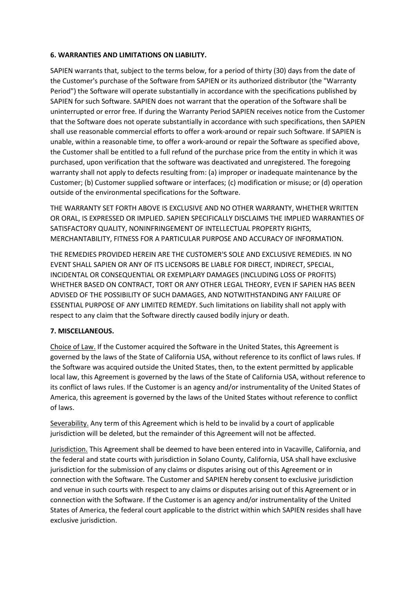### **6. WARRANTIES AND LIMITATIONS ON LIABILITY.**

SAPIEN warrants that, subject to the terms below, for a period of thirty (30) days from the date of the Customer's purchase of the Software from SAPIEN or its authorized distributor (the "Warranty Period") the Software will operate substantially in accordance with the specifications published by SAPIEN for such Software. SAPIEN does not warrant that the operation of the Software shall be uninterrupted or error free. If during the Warranty Period SAPIEN receives notice from the Customer that the Software does not operate substantially in accordance with such specifications, then SAPIEN shall use reasonable commercial efforts to offer a work-around or repair such Software. If SAPIEN is unable, within a reasonable time, to offer a work-around or repair the Software as specified above, the Customer shall be entitled to a full refund of the purchase price from the entity in which it was purchased, upon verification that the software was deactivated and unregistered. The foregoing warranty shall not apply to defects resulting from: (a) improper or inadequate maintenance by the Customer; (b) Customer supplied software or interfaces; (c) modification or misuse; or (d) operation outside of the environmental specifications for the Software.

THE WARRANTY SET FORTH ABOVE IS EXCLUSIVE AND NO OTHER WARRANTY, WHETHER WRITTEN OR ORAL, IS EXPRESSED OR IMPLIED. SAPIEN SPECIFICALLY DISCLAIMS THE IMPLIED WARRANTIES OF SATISFACTORY QUALITY, NONINFRINGEMENT OF INTELLECTUAL PROPERTY RIGHTS, MERCHANTABILITY, FITNESS FOR A PARTICULAR PURPOSE AND ACCURACY OF INFORMATION.

THE REMEDIES PROVIDED HEREIN ARE THE CUSTOMER'S SOLE AND EXCLUSIVE REMEDIES. IN NO EVENT SHALL SAPIEN OR ANY OF ITS LICENSORS BE LIABLE FOR DIRECT, INDIRECT, SPECIAL, INCIDENTAL OR CONSEQUENTIAL OR EXEMPLARY DAMAGES (INCLUDING LOSS OF PROFITS) WHETHER BASED ON CONTRACT, TORT OR ANY OTHER LEGAL THEORY, EVEN IF SAPIEN HAS BEEN ADVISED OF THE POSSIBILITY OF SUCH DAMAGES, AND NOTWITHSTANDING ANY FAILURE OF ESSENTIAL PURPOSE OF ANY LIMITED REMEDY. Such limitations on liability shall not apply with respect to any claim that the Software directly caused bodily injury or death.

# **7. MISCELLANEOUS.**

Choice of Law. If the Customer acquired the Software in the United States, this Agreement is governed by the laws of the State of California USA, without reference to its conflict of laws rules. If the Software was acquired outside the United States, then, to the extent permitted by applicable local law, this Agreement is governed by the laws of the State of California USA, without reference to its conflict of laws rules. If the Customer is an agency and/or instrumentality of the United States of America, this agreement is governed by the laws of the United States without reference to conflict of laws.

Severability. Any term of this Agreement which is held to be invalid by a court of applicable jurisdiction will be deleted, but the remainder of this Agreement will not be affected.

Jurisdiction. This Agreement shall be deemed to have been entered into in Vacaville, California, and the federal and state courts with jurisdiction in Solano County, California, USA shall have exclusive jurisdiction for the submission of any claims or disputes arising out of this Agreement or in connection with the Software. The Customer and SAPIEN hereby consent to exclusive jurisdiction and venue in such courts with respect to any claims or disputes arising out of this Agreement or in connection with the Software. If the Customer is an agency and/or instrumentality of the United States of America, the federal court applicable to the district within which SAPIEN resides shall have exclusive jurisdiction.